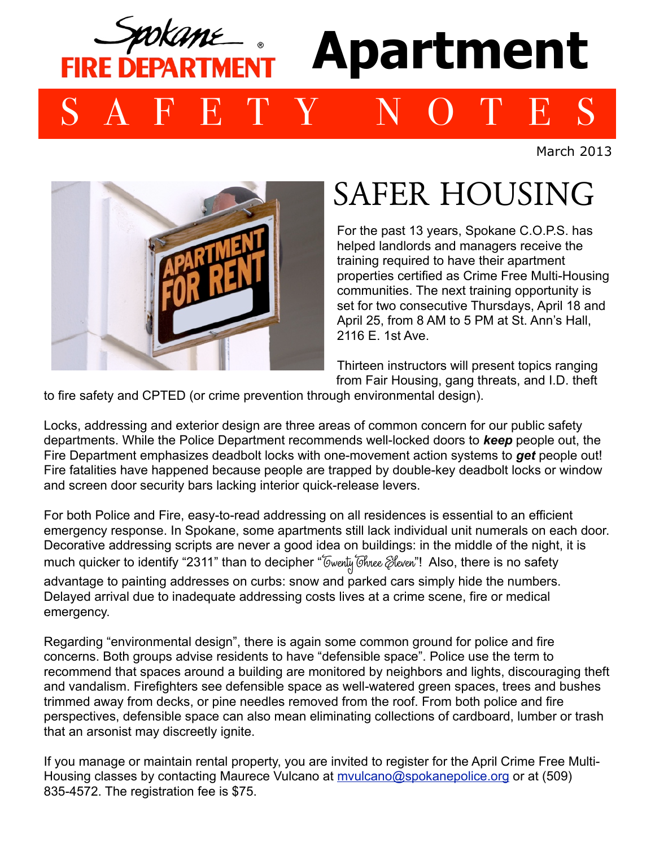

March 2013



## SAFER HOUSING

For the past 13 years, Spokane C.O.P.S. has helped landlords and managers receive the training required to have their apartment properties certified as Crime Free Multi-Housing communities. The next training opportunity is set for two consecutive Thursdays, April 18 and April 25, from 8 AM to 5 PM at St. Ann's Hall, 2116 E. 1st Ave.

Thirteen instructors will present topics ranging from Fair Housing, gang threats, and I.D. theft

to fire safety and CPTED (or crime prevention through environmental design).

Locks, addressing and exterior design are three areas of common concern for our public safety departments. While the Police Department recommends well-locked doors to *keep* people out, the Fire Department emphasizes deadbolt locks with one-movement action systems to *get* people out! Fire fatalities have happened because people are trapped by double-key deadbolt locks or window and screen door security bars lacking interior quick-release levers.

For both Police and Fire, easy-to-read addressing on all residences is essential to an efficient emergency response. In Spokane, some apartments still lack individual unit numerals on each door. Decorative addressing scripts are never a good idea on buildings: in the middle of the night, it is much quicker to identify "2311" than to decipher "Owenty Ohnee Eleven"! Also, there is no safety advantage to painting addresses on curbs: snow and parked cars simply hide the numbers. Delayed arrival due to inadequate addressing costs lives at a crime scene, fire or medical emergency.

Regarding "environmental design", there is again some common ground for police and fire concerns. Both groups advise residents to have "defensible space". Police use the term to recommend that spaces around a building are monitored by neighbors and lights, discouraging theft and vandalism. Firefighters see defensible space as well-watered green spaces, trees and bushes trimmed away from decks, or pine needles removed from the roof. From both police and fire perspectives, defensible space can also mean eliminating collections of cardboard, lumber or trash that an arsonist may discreetly ignite.

If you manage or maintain rental property, you are invited to register for the April Crime Free Multi-Housing classes by contacting Maurece Vulcano at **mvulcano@spokanepolice.org** or at (509) 835-4572. The registration fee is \$75.